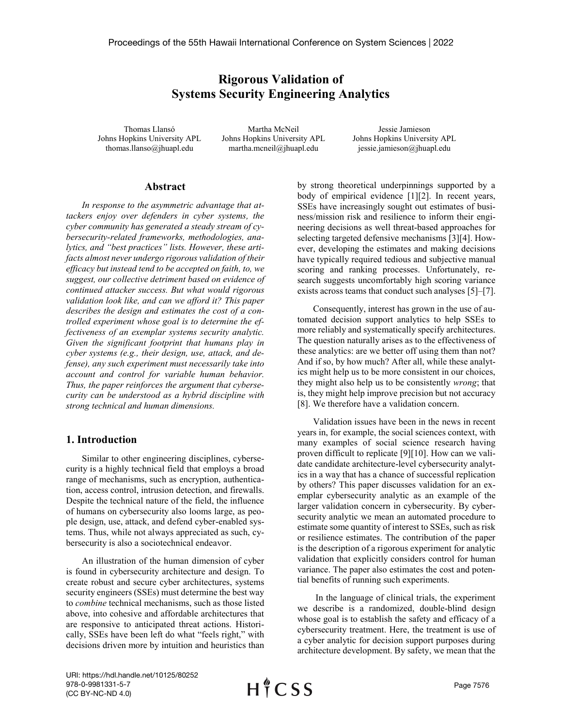# **Rigorous Validation of Systems Security Engineering Analytics**

Thomas Llansó Johns Hopkins University APL thomas.llanso@jhuapl.edu

Martha McNeil Johns Hopkins University APL martha.mcneil@jhuapl.edu

Jessie Jamieson Johns Hopkins University APL jessie.jamieson@jhuapl.edu

#### **Abstract**

*In response to the asymmetric advantage that attackers enjoy over defenders in cyber systems, the cyber community has generated a steady stream of cybersecurity-related frameworks, methodologies, analytics, and "best practices" lists. However, these artifacts almost never undergo rigorous validation of their efficacy but instead tend to be accepted on faith, to, we suggest, our collective detriment based on evidence of continued attacker success. But what would rigorous validation look like, and can we afford it? This paper describes the design and estimates the cost of a controlled experiment whose goal is to determine the effectiveness of an exemplar systems security analytic. Given the significant footprint that humans play in cyber systems (e.g., their design, use, attack, and defense), any such experiment must necessarily take into account and control for variable human behavior. Thus, the paper reinforces the argument that cybersecurity can be understood as a hybrid discipline with strong technical and human dimensions.*

#### **1. Introduction**

Similar to other engineering disciplines, cybersecurity is a highly technical field that employs a broad range of mechanisms, such as encryption, authentication, access control, intrusion detection, and firewalls. Despite the technical nature of the field, the influence of humans on cybersecurity also looms large, as people design, use, attack, and defend cyber-enabled systems. Thus, while not always appreciated as such, cybersecurity is also a sociotechnical endeavor.

An illustration of the human dimension of cyber is found in cybersecurity architecture and design. To create robust and secure cyber architectures, systems security engineers (SSEs) must determine the best way to *combine* technical mechanisms, such as those listed above, into cohesive and affordable architectures that are responsive to anticipated threat actions. Historically, SSEs have been left do what "feels right," with decisions driven more by intuition and heuristics than by strong theoretical underpinnings supported by a body of empirical evidence [1][2]. In recent years, SSEs have increasingly sought out estimates of business/mission risk and resilience to inform their engineering decisions as well threat-based approaches for selecting targeted defensive mechanisms [3][4]. However, developing the estimates and making decisions have typically required tedious and subjective manual scoring and ranking processes. Unfortunately, research suggests uncomfortably high scoring variance exists across teams that conduct such analyses [5]–[7].

Consequently, interest has grown in the use of automated decision support analytics to help SSEs to more reliably and systematically specify architectures. The question naturally arises as to the effectiveness of these analytics: are we better off using them than not? And if so, by how much? After all, while these analytics might help us to be more consistent in our choices, they might also help us to be consistently *wrong*; that is, they might help improve precision but not accuracy [8]. We therefore have a validation concern.

Validation issues have been in the news in recent years in, for example, the social sciences context, with many examples of social science research having proven difficult to replicate [9][10]. How can we validate candidate architecture-level cybersecurity analytics in a way that has a chance of successful replication by others? This paper discusses validation for an exemplar cybersecurity analytic as an example of the larger validation concern in cybersecurity. By cybersecurity analytic we mean an automated procedure to estimate some quantity of interest to SSEs, such as risk or resilience estimates. The contribution of the paper is the description of a rigorous experiment for analytic validation that explicitly considers control for human variance. The paper also estimates the cost and potential benefits of running such experiments.

In the language of clinical trials, the experiment we describe is a randomized, double-blind design whose goal is to establish the safety and efficacy of a cybersecurity treatment. Here, the treatment is use of a cyber analytic for decision support purposes during architecture development. By safety, we mean that the

URI: https://hdl.handle.net/10125/80252 978-0-9981331-5-7 (CC BY-NC-ND 4.0)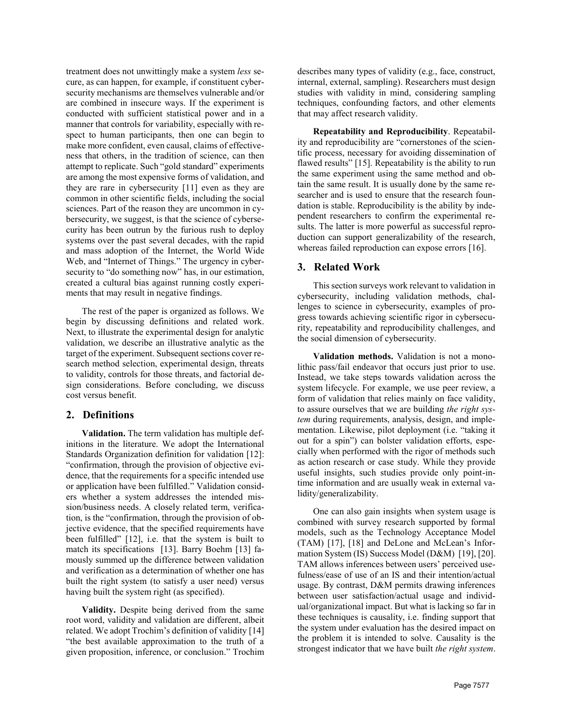treatment does not unwittingly make a system *less* secure, as can happen, for example, if constituent cybersecurity mechanisms are themselves vulnerable and/or are combined in insecure ways. If the experiment is conducted with sufficient statistical power and in a manner that controls for variability, especially with respect to human participants, then one can begin to make more confident, even causal, claims of effectiveness that others, in the tradition of science, can then attempt to replicate. Such "gold standard" experiments are among the most expensive forms of validation, and they are rare in cybersecurity [11] even as they are common in other scientific fields, including the social sciences. Part of the reason they are uncommon in cybersecurity, we suggest, is that the science of cybersecurity has been outrun by the furious rush to deploy systems over the past several decades, with the rapid and mass adoption of the Internet, the World Wide Web, and "Internet of Things." The urgency in cybersecurity to "do something now" has, in our estimation, created a cultural bias against running costly experiments that may result in negative findings.

The rest of the paper is organized as follows. We begin by discussing definitions and related work. Next, to illustrate the experimental design for analytic validation, we describe an illustrative analytic as the target of the experiment. Subsequent sections cover research method selection, experimental design, threats to validity, controls for those threats, and factorial design considerations. Before concluding, we discuss cost versus benefit.

## **2. Definitions**

**Validation.** The term validation has multiple definitions in the literature. We adopt the International Standards Organization definition for validation [12]: "confirmation, through the provision of objective evidence, that the requirements for a specific intended use or application have been fulfilled." Validation considers whether a system addresses the intended mission/business needs. A closely related term, verification, is the "confirmation, through the provision of objective evidence, that the specified requirements have been fulfilled" [12], i.e. that the system is built to match its specifications [13]. Barry Boehm [13] famously summed up the difference between validation and verification as a determination of whether one has built the right system (to satisfy a user need) versus having built the system right (as specified).

**Validity.** Despite being derived from the same root word, validity and validation are different, albeit related. We adopt Trochim's definition of validity [14] "the best available approximation to the truth of a given proposition, inference, or conclusion." Trochim describes many types of validity (e.g., face, construct, internal, external, sampling). Researchers must design studies with validity in mind, considering sampling techniques, confounding factors, and other elements that may affect research validity.

**Repeatability and Reproducibility**. Repeatability and reproducibility are "cornerstones of the scientific process, necessary for avoiding dissemination of flawed results" [15]. Repeatability is the ability to run the same experiment using the same method and obtain the same result. It is usually done by the same researcher and is used to ensure that the research foundation is stable. Reproducibility is the ability by independent researchers to confirm the experimental results. The latter is more powerful as successful reproduction can support generalizability of the research, whereas failed reproduction can expose errors [16].

## **3. Related Work**

This section surveys work relevant to validation in cybersecurity, including validation methods, challenges to science in cybersecurity, examples of progress towards achieving scientific rigor in cybersecurity, repeatability and reproducibility challenges, and the social dimension of cybersecurity.

**Validation methods.** Validation is not a monolithic pass/fail endeavor that occurs just prior to use. Instead, we take steps towards validation across the system lifecycle. For example, we use peer review, a form of validation that relies mainly on face validity, to assure ourselves that we are building *the right system* during requirements, analysis, design, and implementation. Likewise, pilot deployment (i.e. "taking it out for a spin") can bolster validation efforts, especially when performed with the rigor of methods such as action research or case study. While they provide useful insights, such studies provide only point-intime information and are usually weak in external validity/generalizability.

One can also gain insights when system usage is combined with survey research supported by formal models, such as the Technology Acceptance Model (TAM) [17], [18] and DeLone and McLean's Information System (IS) Success Model (D&M) [19], [20]. TAM allows inferences between users' perceived usefulness/ease of use of an IS and their intention/actual usage. By contrast, D&M permits drawing inferences between user satisfaction/actual usage and individual/organizational impact. But what is lacking so far in these techniques is causality, i.e. finding support that the system under evaluation has the desired impact on the problem it is intended to solve. Causality is the strongest indicator that we have built *the right system*.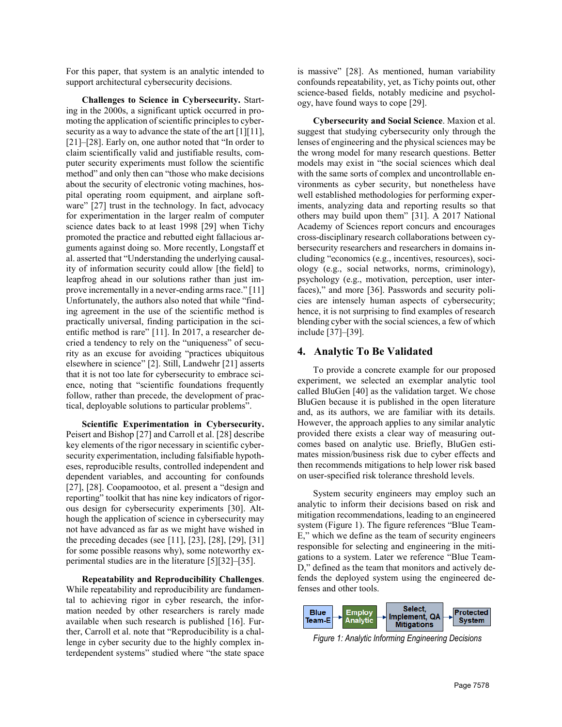For this paper, that system is an analytic intended to support architectural cybersecurity decisions.

**Challenges to Science in Cybersecurity.** Starting in the 2000s, a significant uptick occurred in promoting the application of scientific principles to cybersecurity as a way to advance the state of the art [1][11], [21]–[28]. Early on, one author noted that "In order to claim scientifically valid and justifiable results, computer security experiments must follow the scientific method" and only then can "those who make decisions about the security of electronic voting machines, hospital operating room equipment, and airplane software" [27] trust in the technology. In fact, advocacy for experimentation in the larger realm of computer science dates back to at least 1998 [29] when Tichy promoted the practice and rebutted eight fallacious arguments against doing so. More recently, Longstaff et al. asserted that "Understanding the underlying causality of information security could allow [the field] to leapfrog ahead in our solutions rather than just improve incrementally in a never-ending arms race." [11] Unfortunately, the authors also noted that while "finding agreement in the use of the scientific method is practically universal, finding participation in the scientific method is rare" [11]. In 2017, a researcher decried a tendency to rely on the "uniqueness" of security as an excuse for avoiding "practices ubiquitous elsewhere in science" [2]. Still, Landwehr [21] asserts that it is not too late for cybersecurity to embrace science, noting that "scientific foundations frequently follow, rather than precede, the development of practical, deployable solutions to particular problems".

**Scientific Experimentation in Cybersecurity.** Peisert and Bishop [27] and Carroll et al. [28] describe key elements of the rigor necessary in scientific cybersecurity experimentation, including falsifiable hypotheses, reproducible results, controlled independent and dependent variables, and accounting for confounds [27], [28]. Coopamootoo, et al. present a "design and reporting" toolkit that has nine key indicators of rigorous design for cybersecurity experiments [30]. Although the application of science in cybersecurity may not have advanced as far as we might have wished in the preceding decades (see [11], [23], [28], [29], [31] for some possible reasons why), some noteworthy experimental studies are in the literature [5][32]–[35].

**Repeatability and Reproducibility Challenges**. While repeatability and reproducibility are fundamental to achieving rigor in cyber research, the information needed by other researchers is rarely made available when such research is published [16]. Further, Carroll et al. note that "Reproducibility is a challenge in cyber security due to the highly complex interdependent systems" studied where "the state space is massive" [28]. As mentioned, human variability confounds repeatability, yet, as Tichy points out, other science-based fields, notably medicine and psychology, have found ways to cope [29].

**Cybersecurity and Social Science**. Maxion et al. suggest that studying cybersecurity only through the lenses of engineering and the physical sciences may be the wrong model for many research questions. Better models may exist in "the social sciences which deal with the same sorts of complex and uncontrollable environments as cyber security, but nonetheless have well established methodologies for performing experiments, analyzing data and reporting results so that others may build upon them" [31]. A 2017 National Academy of Sciences report concurs and encourages cross-disciplinary research collaborations between cybersecurity researchers and researchers in domains including "economics (e.g., incentives, resources), sociology (e.g., social networks, norms, criminology), psychology (e.g., motivation, perception, user interfaces)," and more [36]. Passwords and security policies are intensely human aspects of cybersecurity; hence, it is not surprising to find examples of research blending cyber with the social sciences, a few of which include [37]–[39].

## **4. Analytic To Be Validated**

To provide a concrete example for our proposed experiment, we selected an exemplar analytic tool called BluGen [40] as the validation target. We chose BluGen because it is published in the open literature and, as its authors, we are familiar with its details. However, the approach applies to any similar analytic provided there exists a clear way of measuring outcomes based on analytic use. Briefly, BluGen estimates mission/business risk due to cyber effects and then recommends mitigations to help lower risk based on user-specified risk tolerance threshold levels.

System security engineers may employ such an analytic to inform their decisions based on risk and mitigation recommendations, leading to an engineered system [\(Figure 1\)](#page-2-0). The figure references "Blue Team-E," which we define as the team of security engineers responsible for selecting and engineering in the mitigations to a system. Later we reference "Blue Team-D," defined as the team that monitors and actively defends the deployed system using the engineered defenses and other tools.



<span id="page-2-0"></span>*Figure 1: Analytic Informing Engineering Decisions*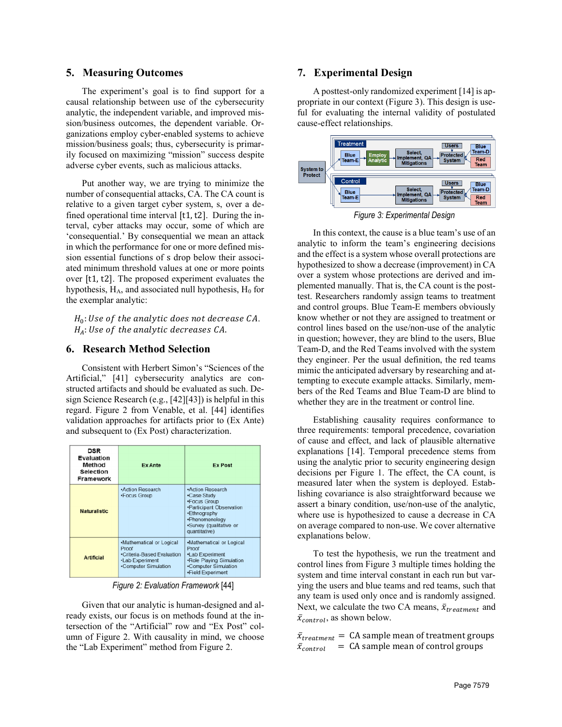#### **5. Measuring Outcomes**

The experiment's goal is to find support for a causal relationship between use of the cybersecurity analytic, the independent variable, and improved mission/business outcomes, the dependent variable. Organizations employ cyber-enabled systems to achieve mission/business goals; thus, cybersecurity is primarily focused on maximizing "mission" success despite adverse cyber events, such as malicious attacks.

Put another way, we are trying to minimize the number of consequential attacks, CA. The CA count is relative to a given target cyber system, s, over a defined operational time interval [t1, t2]. During the interval, cyber attacks may occur, some of which are 'consequential.' By consequential we mean an attack in which the performance for one or more defined mission essential functions of s drop below their associated minimum threshold values at one or more points over [t1, t2]. The proposed experiment evaluates the hypothesis,  $H_A$ , and associated null hypothesis,  $H_0$  for the exemplar analytic:

 $H_0$ : Use of the analytic does not decrease CA.  $H_A$ : Use of the analytic decreases CA.

## **6. Research Method Selection**

Consistent with Herbert Simon's "Sciences of the Artificial," [41] cybersecurity analytics are constructed artifacts and should be evaluated as such. Design Science Research (e.g., [42][43]) is helpful in this regard. [Figure 2](#page-3-0) from Venable, et al. [44] identifies validation approaches for artifacts prior to (Ex Ante) and subsequent to (Ex Post) characterization.

| DSR<br>Evaluation<br>Method<br><b>Selection</b><br><b>Framework</b> | <b>Ex Ante</b>                                                                                             | <b>Ex Post</b>                                                                                                                                                  |  |
|---------------------------------------------------------------------|------------------------------------------------------------------------------------------------------------|-----------------------------------------------------------------------------------------------------------------------------------------------------------------|--|
| <b>Naturalistic</b>                                                 | <b>Action Research</b><br>•Focus Group                                                                     | <b>Action Research</b><br>•Case Study<br>•Focus Group<br>•Participant Observation<br>•Ethnography<br>•Phenomenology<br>·Survey (qualitative or<br>quantitative) |  |
| <b>Artificial</b>                                                   | •Mathematical or Logical<br>Proof<br>•Criteria-Based Evaluation<br>•Lab Experiment<br>•Computer Simulation | •Mathematical or Logical<br>Proof<br>•Lab Experiment<br>•Role Playing Simulation<br>•Computer Simulation<br>•Field Experiment                                   |  |

*Figure 2: Evaluation Framework* [44]

<span id="page-3-0"></span>Given that our analytic is human-designed and already exists, our focus is on methods found at the intersection of the "Artificial" row and "Ex Post" column of [Figure 2.](#page-3-0) With causality in mind, we choose the "Lab Experiment" method from [Figure 2.](#page-3-0)

### **7. Experimental Design**

A posttest-only randomized experiment [14] is appropriate in our context [\(Figure 3\)](#page-3-1). This design is useful for evaluating the internal validity of postulated cause-effect relationships.



*Figure 3: Experimental Design*

<span id="page-3-1"></span>In this context, the cause is a blue team's use of an analytic to inform the team's engineering decisions and the effect is a system whose overall protections are hypothesized to show a decrease (improvement) in CA over a system whose protections are derived and implemented manually. That is, the CA count is the posttest. Researchers randomly assign teams to treatment and control groups. Blue Team-E members obviously know whether or not they are assigned to treatment or control lines based on the use/non-use of the analytic in question; however, they are blind to the users, Blue Team-D, and the Red Teams involved with the system they engineer. Per the usual definition, the red teams mimic the anticipated adversary by researching and attempting to execute example attacks. Similarly, members of the Red Teams and Blue Team-D are blind to whether they are in the treatment or control line.

Establishing causality requires conformance to three requirements: temporal precedence, covariation of cause and effect, and lack of plausible alternative explanations [14]. Temporal precedence stems from using the analytic prior to security engineering design decisions per [Figure 1.](#page-2-0) The effect, the CA count, is measured later when the system is deployed. Establishing covariance is also straightforward because we assert a binary condition, use/non-use of the analytic, where use is hypothesized to cause a decrease in CA on average compared to non-use. We cover alternative explanations below.

To test the hypothesis, we run the treatment and control lines from [Figure 3](#page-3-1) multiple times holding the system and time interval constant in each run but varying the users and blue teams and red teams, such that any team is used only once and is randomly assigned. Next, we calculate the two CA means,  $\bar{x}_{treatment}$  and  $\bar{X}_{control}$ , as shown below.

 $\bar{x}_{treatment}$  = CA sample mean of treatment groups  $\bar{x}_{control}$  = CA sample mean of control groups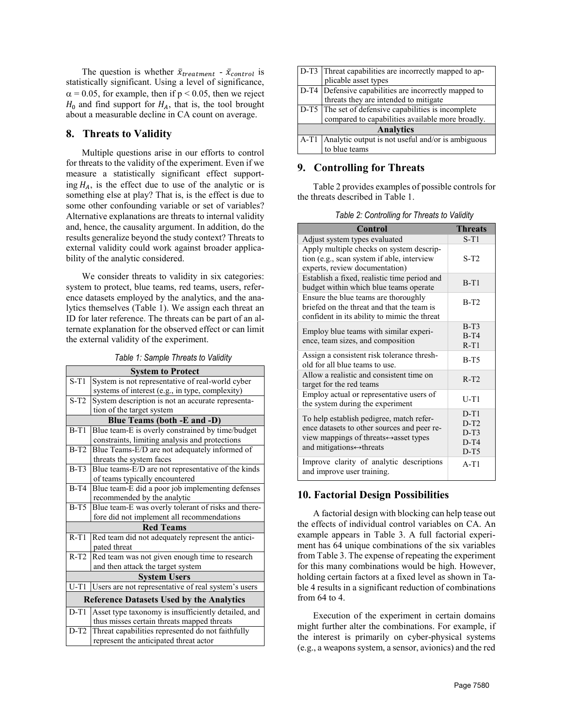The question is whether  $\bar{x}_{treatment}$  -  $\bar{x}_{control}$  is statistically significant. Using a level of significance,  $\alpha$  = 0.05, for example, then if p < 0.05, then we reject  $H_0$  and find support for  $H_A$ , that is, the tool brought about a measurable decline in CA count on average.

#### **8. Threats to Validity**

Multiple questions arise in our efforts to control for threats to the validity of the experiment. Even if we measure a statistically significant effect supporting  $H_A$ , is the effect due to use of the analytic or is something else at play? That is, is the effect is due to some other confounding variable or set of variables? Alternative explanations are threats to internal validity and, hence, the causality argument. In addition, do the results generalize beyond the study context? Threats to external validity could work against broader applicability of the analytic considered.

We consider threats to validity in six categories: system to protect, blue teams, red teams, users, reference datasets employed by the analytics, and the analytics themselves [\(Table 1\)](#page-4-0). We assign each threat an ID for later reference. The threats can be part of an alternate explanation for the observed effect or can limit the external validity of the experiment.

<span id="page-4-0"></span>

| <b>System to Protect</b>                        |                                                     |  |  |
|-------------------------------------------------|-----------------------------------------------------|--|--|
| $S-T1$                                          | System is not representative of real-world cyber    |  |  |
|                                                 | systems of interest (e.g., in type, complexity)     |  |  |
| $S-T2$                                          | System description is not an accurate representa-   |  |  |
| tion of the target system                       |                                                     |  |  |
| Blue Teams (both -E and -D)                     |                                                     |  |  |
| $B-T1$                                          | Blue team-E is overly constrained by time/budget    |  |  |
|                                                 | constraints, limiting analysis and protections      |  |  |
| $B-T2$                                          | Blue Teams-E/D are not adequately informed of       |  |  |
|                                                 | threats the system faces                            |  |  |
| $B-T3$                                          | Blue teams-E/D are not representative of the kinds  |  |  |
|                                                 | of teams typically encountered                      |  |  |
| $B-T4$                                          | Blue team-E did a poor job implementing defenses    |  |  |
|                                                 | recommended by the analytic                         |  |  |
| $B-T5$                                          | Blue team-E was overly tolerant of risks and there- |  |  |
|                                                 | fore did not implement all recommendations          |  |  |
|                                                 | <b>Red Teams</b>                                    |  |  |
| $R-T1$                                          | Red team did not adequately represent the antici-   |  |  |
|                                                 | pated threat                                        |  |  |
| $R-T2$                                          | Red team was not given enough time to research      |  |  |
|                                                 | and then attack the target system                   |  |  |
|                                                 | <b>System Users</b>                                 |  |  |
| $U-T1$                                          | Users are not representative of real system's users |  |  |
| <b>Reference Datasets Used by the Analytics</b> |                                                     |  |  |
| $D-T1$                                          | Asset type taxonomy is insufficiently detailed, and |  |  |
|                                                 | thus misses certain threats mapped threats          |  |  |
| $D-T2$                                          | Threat capabilities represented do not faithfully   |  |  |
|                                                 | represent the anticipated threat actor              |  |  |

|                  | D-T3 Threat capabilities are incorrectly mapped to ap- |  |
|------------------|--------------------------------------------------------|--|
|                  | plicable asset types                                   |  |
|                  | D-T4 Defensive capabilities are incorrectly mapped to  |  |
|                  | threats they are intended to mitigate                  |  |
|                  | D-T5 The set of defensive capabilities is incomplete   |  |
|                  | compared to capabilities available more broadly.       |  |
| <b>Analytics</b> |                                                        |  |
| $A-T1$           | Analytic output is not useful and/or is ambiguous      |  |
|                  | to blue teams                                          |  |

## **9. Controlling for Threats**

[Table 2](#page-4-1) provides examples of possible controls for the threats described in [Table 1.](#page-4-0)

*Table 2: Controlling for Threats to Validity*

<span id="page-4-1"></span>

| <b>Control</b>                                                                                                                                                                 | <b>Threats</b>                                 |
|--------------------------------------------------------------------------------------------------------------------------------------------------------------------------------|------------------------------------------------|
| Adjust system types evaluated                                                                                                                                                  | $S-T1$                                         |
| Apply multiple checks on system descrip-<br>tion (e.g., scan system if able, interview<br>experts, review documentation)                                                       | $S-T2$                                         |
| Establish a fixed, realistic time period and<br>budget within which blue teams operate                                                                                         | $B-T1$                                         |
| Ensure the blue teams are thoroughly<br>briefed on the threat and that the team is<br>confident in its ability to mimic the threat                                             | $B-T2$                                         |
| Employ blue teams with similar experi-<br>ence, team sizes, and composition                                                                                                    | $B-T3$<br>$B-T4$<br>$R-T1$                     |
| Assign a consistent risk tolerance thresh-<br>old for all blue teams to use.                                                                                                   | $B-T5$                                         |
| Allow a realistic and consistent time on<br>target for the red teams                                                                                                           | $R-T2$                                         |
| Employ actual or representative users of<br>the system during the experiment                                                                                                   | $U-T1$                                         |
| To help establish pedigree, match refer-<br>ence datasets to other sources and peer re-<br>view mappings of threats ↔ asset types<br>and mitigations $\leftrightarrow$ threats | $D-T1$<br>$D-T2$<br>$D-T3$<br>$D-T4$<br>$D-T5$ |
| Improve clarity of analytic descriptions<br>and improve user training.                                                                                                         | $A-T1$                                         |

## **10. Factorial Design Possibilities**

A factorial design with blocking can help tease out the effects of individual control variables on CA. An example appears in [Table 3.](#page-5-0) A full factorial experiment has 64 unique combinations of the six variables fro[m Table 3.](#page-5-0) The expense of repeating the experiment for this many combinations would be high. However, holding certain factors at a fixed level as shown in [Ta](#page-5-1)[ble 4](#page-5-1) results in a significant reduction of combinations from 64 to 4.

Execution of the experiment in certain domains might further alter the combinations. For example, if the interest is primarily on cyber-physical systems (e.g., a weapons system, a sensor, avionics) and the red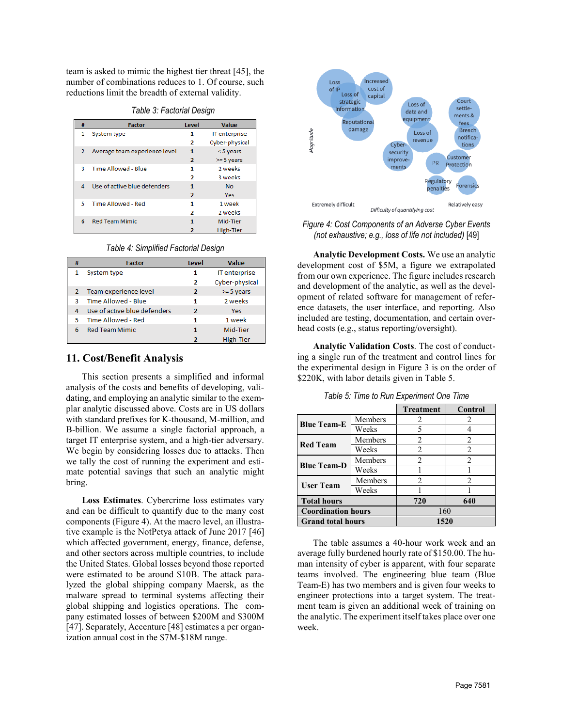team is asked to mimic the highest tier threat [45], the number of combinations reduces to 1. Of course, such reductions limit the breadth of external validity.

| Table 3: Factorial Design |  |
|---------------------------|--|
|---------------------------|--|

<span id="page-5-0"></span>

| #              | <b>Factor</b>                 | Level          | <b>Value</b>     |
|----------------|-------------------------------|----------------|------------------|
| 1              | System type                   | 1              | IT enterprise    |
|                |                               | 2              | Cyber-physical   |
| $\overline{2}$ | Average team experience level | 1              | $<$ 5 years      |
|                |                               | $\overline{2}$ | $>= 5$ years     |
| 3              | Time Allowed - Blue           | 1              | 2 weeks          |
|                |                               | 2              | 3 weeks          |
| 4              | Use of active blue defenders  | 1              | No               |
|                |                               | $\overline{2}$ | Yes              |
| 5              | <b>Time Allowed - Red</b>     | 1              | 1 week           |
|                |                               | 2              | 2 weeks          |
| 6              | <b>Red Team Mimic</b>         | 1              | Mid-Tier         |
|                |                               | 2              | <b>High-Tier</b> |

<span id="page-5-1"></span>

| # | <b>Factor</b>                | Level          | Value            |
|---|------------------------------|----------------|------------------|
|   | System type                  | 1              | IT enterprise    |
|   |                              | 2              | Cyber-physical   |
|   | Team experience level        | $\overline{2}$ | $>= 5$ years     |
| ٩ | Time Allowed - Blue          | 1              | 2 weeks          |
| 4 | Use of active blue defenders | $\mathcal{P}$  | Yes              |
| 5 | Time Allowed - Red           | 1              | 1 week           |
| 6 | <b>Red Team Mimic</b>        |                | Mid-Tier         |
|   |                              |                | <b>High-Tier</b> |

*Table 4: Simplified Factorial Design*

## **11. Cost/Benefit Analysis**

This section presents a simplified and informal analysis of the costs and benefits of developing, validating, and employing an analytic similar to the exemplar analytic discussed above. Costs are in US dollars with standard prefixes for K-thousand, M-million, and B-billion. We assume a single factorial approach, a target IT enterprise system, and a high-tier adversary. We begin by considering losses due to attacks. Then we tally the cost of running the experiment and estimate potential savings that such an analytic might bring.

**Loss Estimates**. Cybercrime loss estimates vary and can be difficult to quantify due to the many cost components [\(Figure 4\)](#page-5-2). At the macro level, an illustrative example is the NotPetya attack of June 2017 [46] which affected government, energy, finance, defense, and other sectors across multiple countries, to include the United States. Global losses beyond those reported were estimated to be around \$10B. The attack paralyzed the global shipping company Maersk, as the malware spread to terminal systems affecting their global shipping and logistics operations. The company estimated losses of between \$200M and \$300M [47]. Separately, Accenture [48] estimates a per organization annual cost in the \$7M-\$18M range.



<span id="page-5-2"></span>*Figure 4: Cost Components of an Adverse Cyber Events (not exhaustive; e.g., loss of life not included)* [49]

**Analytic Development Costs.** We use an analytic development cost of \$5M, a figure we extrapolated from our own experience. The figure includes research and development of the analytic, as well as the development of related software for management of reference datasets, the user interface, and reporting. Also included are testing, documentation, and certain overhead costs (e.g., status reporting/oversight).

**Analytic Validation Costs**. The cost of conducting a single run of the treatment and control lines for the experimental design in [Figure 3](#page-3-1) is on the order of \$220K, with labor details given in [Table 5.](#page-5-3)

<span id="page-5-3"></span>

|                           |                | <b>Treatment</b> | Control        |
|---------------------------|----------------|------------------|----------------|
| <b>Blue Team-E</b>        | Members        | 2                | 2              |
|                           | Weeks          | 5                |                |
|                           | Members        | 2                | $\overline{c}$ |
| <b>Red Team</b>           | Weeks          | $\overline{2}$   | $\overline{c}$ |
|                           | <b>Members</b> | $\overline{c}$   | $\mathfrak{D}$ |
| <b>Blue Team-D</b>        | Weeks          |                  |                |
|                           | Members        | $\mathfrak{D}$   | $\mathcal{D}$  |
| <b>User Team</b>          | Weeks          |                  |                |
| <b>Total hours</b>        |                | 720              | 640            |
| <b>Coordination hours</b> |                | 160              |                |
| <b>Grand total hours</b>  |                | 1520             |                |

*Table 5: Time to Run Experiment One Time*

The table assumes a 40-hour work week and an average fully burdened hourly rate of \$150.00. The human intensity of cyber is apparent, with four separate teams involved. The engineering blue team (Blue Team-E) has two members and is given four weeks to engineer protections into a target system. The treatment team is given an additional week of training on the analytic. The experiment itself takes place over one week.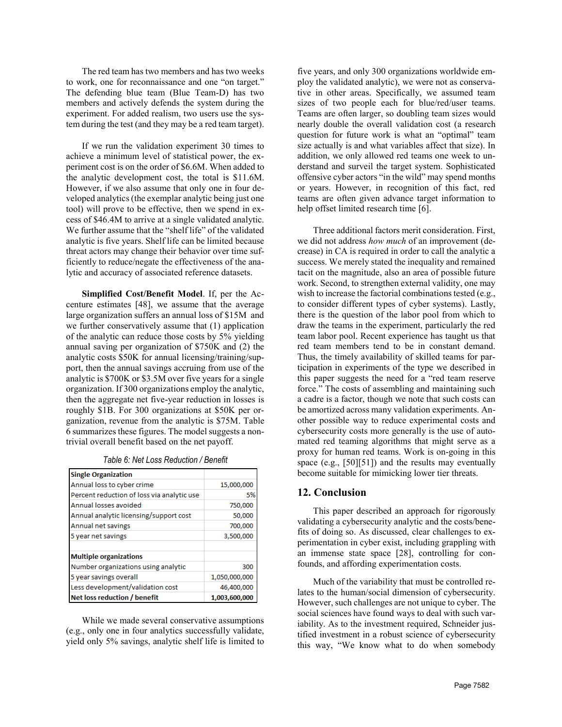The red team has two members and has two weeks to work, one for reconnaissance and one "on target." The defending blue team (Blue Team-D) has two members and actively defends the system during the experiment. For added realism, two users use the system during the test (and they may be a red team target).

If we run the validation experiment 30 times to achieve a minimum level of statistical power, the experiment cost is on the order of \$6.6M. When added to the analytic development cost, the total is \$11.6M. However, if we also assume that only one in four developed analytics (the exemplar analytic being just one tool) will prove to be effective, then we spend in excess of \$46.4M to arrive at a single validated analytic. We further assume that the "shelf life" of the validated analytic is five years. Shelf life can be limited because threat actors may change their behavior over time sufficiently to reduce/negate the effectiveness of the analytic and accuracy of associated reference datasets.

**Simplified Cost/Benefit Model**. If, per the Accenture estimates [48], we assume that the average large organization suffers an annual loss of \$15M and we further conservatively assume that (1) application of the analytic can reduce those costs by 5% yielding annual saving per organization of \$750K and (2) the analytic costs \$50K for annual licensing/training/support, then the annual savings accruing from use of the analytic is \$700K or \$3.5M over five years for a single organization. If 300 organizations employ the analytic, then the aggregate net five-year reduction in losses is roughly \$1B. For 300 organizations at \$50K per organization, revenue from the analytic is \$75M. [Table](#page-6-0)  [6](#page-6-0) summarizes these figures. The model suggests a nontrivial overall benefit based on the net payoff.

<span id="page-6-0"></span>

| <b>Single Organization</b>                 |               |
|--------------------------------------------|---------------|
| Annual loss to cyber crime                 | 15,000,000    |
| Percent reduction of loss via analytic use | 5%            |
| Annual losses avoided                      | 750,000       |
| Annual analytic licensing/support cost     | 50,000        |
| Annual net savings                         | 700,000       |
| 5 year net savings                         | 3,500,000     |
| <b>Multiple organizations</b>              |               |
| Number organizations using analytic        | 300           |
| 5 year savings overall                     | 1,050,000,000 |
| Less development/validation cost           | 46,400,000    |
| Net loss reduction / benefit               | 1,003,600,000 |

*Table 6: Net Loss Reduction / Benefit*

While we made several conservative assumptions (e.g., only one in four analytics successfully validate, yield only 5% savings, analytic shelf life is limited to five years, and only 300 organizations worldwide employ the validated analytic), we were not as conservative in other areas. Specifically, we assumed team sizes of two people each for blue/red/user teams. Teams are often larger, so doubling team sizes would nearly double the overall validation cost (a research question for future work is what an "optimal" team size actually is and what variables affect that size). In addition, we only allowed red teams one week to understand and surveil the target system. Sophisticated offensive cyber actors "in the wild" may spend months or years. However, in recognition of this fact, red teams are often given advance target information to help offset limited research time [6].

Three additional factors merit consideration. First, we did not address *how much* of an improvement (decrease) in CA is required in order to call the analytic a success. We merely stated the inequality and remained tacit on the magnitude, also an area of possible future work. Second, to strengthen external validity, one may wish to increase the factorial combinations tested (e.g., to consider different types of cyber systems). Lastly, there is the question of the labor pool from which to draw the teams in the experiment, particularly the red team labor pool. Recent experience has taught us that red team members tend to be in constant demand. Thus, the timely availability of skilled teams for participation in experiments of the type we described in this paper suggests the need for a "red team reserve force." The costs of assembling and maintaining such a cadre is a factor, though we note that such costs can be amortized across many validation experiments. Another possible way to reduce experimental costs and cybersecurity costs more generally is the use of automated red teaming algorithms that might serve as a proxy for human red teams. Work is on-going in this space (e.g., [50][51]) and the results may eventually become suitable for mimicking lower tier threats.

#### **12. Conclusion**

This paper described an approach for rigorously validating a cybersecurity analytic and the costs/benefits of doing so. As discussed, clear challenges to experimentation in cyber exist, including grappling with an immense state space [28], controlling for confounds, and affording experimentation costs.

Much of the variability that must be controlled relates to the human/social dimension of cybersecurity. However, such challenges are not unique to cyber. The social sciences have found ways to deal with such variability. As to the investment required, Schneider justified investment in a robust science of cybersecurity this way, "We know what to do when somebody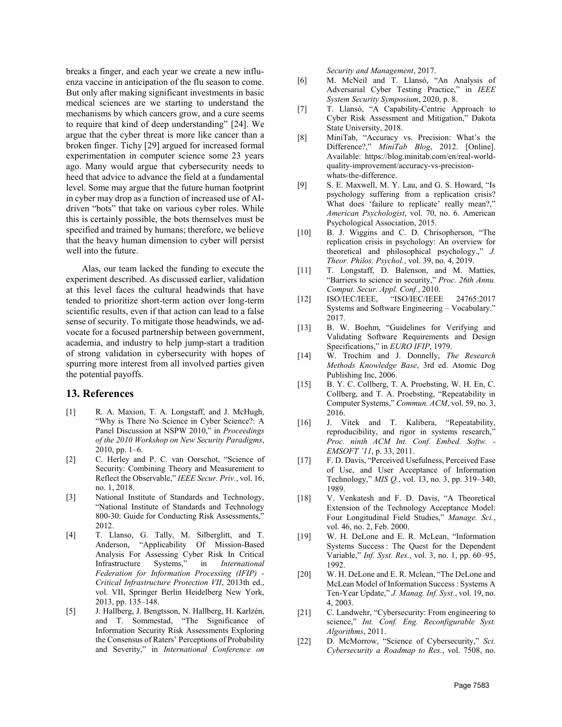breaks a finger, and each year we create a new influenza vaccine in anticipation of the flu season to come. But only after making significant investments in basic medical sciences are we starting to understand the mechanisms by which cancers grow, and a cure seems to require that kind of deep understanding" [24]. We argue that the cyber threat is more like cancer than a broken finger. Tichy [29] argued for increased formal experimentation in computer science some 23 years ago. Many would argue that cybersecurity needs to heed that advice to advance the field at a fundamental level. Some may argue that the future human footprint in cyber may drop as a function of increased use of AIdriven "bots" that take on various cyber roles. While this is certainly possible, the bots themselves must be specified and trained by humans; therefore, we believe that the heavy human dimension to cyber will persist well into the future.

Alas, our team lacked the funding to execute the experiment described. As discussed earlier, validation at this level faces the cultural headwinds that have tended to prioritize short-term action over long-term scientific results, even if that action can lead to a false sense of security. To mitigate those headwinds, we advocate for a focused partnership between government, academia, and industry to help jump-start a tradition of strong validation in cybersecurity with hopes of spurring more interest from all involved parties given the potential payoffs.

# **13. References**

- [1] R. A. Maxion, T. A. Longstaff, and J. McHugh, "Why is There No Science in Cyber Science?: A Panel Discussion at NSPW 2010," in *Proceedings of the 2010 Workshop on New Security Paradigms*, 2010, pp. 1–6.
- [2] C. Herley and P. C. van Oorschot, "Science of Security: Combining Theory and Measurement to Reflect the Observable," *IEEE Secur. Priv.*, vol. 16, no. 1, 2018.
- [3] National Institute of Standards and Technology, "National Institute of Standards and Technology 800-30: Guide for Conducting Risk Assessments," 2012.
- [4] T. Llanso, G. Tally, M. Silberglitt, and T. Anderson, "Applicability Of Mission-Based Analysis For Assessing Cyber Risk In Critical Infrastructure Systems," in *International Federation for Information Processing (IFIP) - Critical Infrastructure Protection VII*, 2013th ed., vol. VII, Springer Berlin Heidelberg New York, 2013, pp. 135–148.
- [5] J. Hallberg, J. Bengtsson, N. Hallberg, H. Karlzén, and T. Sommestad, "The Significance of Information Security Risk Assessments Exploring the Consensus of Raters' Perceptions of Probability and Severity," in *International Conference on*

*Security and Management*, 2017.

- [6] M. McNeil and T. Llansó, "An Analysis of Adversarial Cyber Testing Practice," in *IEEE System Security Symposium*, 2020, p. 8.
- [7] T. Llansó, "A Capability-Centric Approach to Cyber Risk Assessment and Mitigation," Dakota State University, 2018.
- [8] MiniTab, "Accuracy vs. Precision: What's the Difference?," *MiniTab Blog*, 2012. [Online]. Available: https://blog.minitab.com/en/real-worldquality-improvement/accuracy-vs-precisionwhats-the-difference.
- [9] S. E. Maxwell, M. Y. Lau, and G. S. Howard, "Is psychology suffering from a replication crisis? What does 'failure to replicate' really mean?," *American Psychologist*, vol. 70, no. 6. American Psychological Association, 2015.
- [10] B. J. Wiggins and C. D. Chrisopherson, "The replication crisis in psychology: An overview for theoretical and philosophical psychology.," *J. Theor. Philos. Psychol.*, vol. 39, no. 4, 2019.
- [11] T. Longstaff, D. Balenson, and M. Matties, "Barriers to science in security," *Proc. 26th Annu. Comput. Secur. Appl. Conf.*, 2010.
- [12] ISO/IEC/IEEE, "ISO/IEC/IEEE 24765:2017 Systems and Software Engineering – Vocabulary." 2017.
- [13] B. W. Boehm, "Guidelines for Verifying and Validating Software Requirements and Design Specifications," in *EURO IFIP*, 1979.
- [14] W. Trochim and J. Donnelly, *The Research Methods Knowledge Base*, 3rd ed. Atomic Dog Publishing Inc, 2006.
- [15] B. Y. C. Collberg, T. A. Proebsting, W. H. En, C. Collberg, and T. A. Proebsting, "Repeatability in Computer Systems," *Commun. ACM*, vol. 59, no. 3, 2016.
- [16] J. Vitek and T. Kalibera, "Repeatability, reproducibility, and rigor in systems research," *Proc. ninth ACM Int. Conf. Embed. Softw. - EMSOFT '11*, p. 33, 2011.
- [17] F. D. Davis, "Perceived Usefulness, Perceived Ease of Use, and User Acceptance of Information Technology," *MIS Q.*, vol. 13, no. 3, pp. 319–340, 1989.
- [18] V. Venkatesh and F. D. Davis, "A Theoretical Extension of the Technology Acceptance Model: Four Longitudinal Field Studies," *Manage. Sci.*, vol. 46, no. 2, Feb. 2000.
- [19] W. H. DeLone and E. R. McLean, "Information Systems Success : The Quest for the Dependent Variable," *Inf. Syst. Res.*, vol. 3, no. 1, pp. 60–95, 1992.
- [20] W. H. DeLone and E. R. Mclean, "The DeLone and McLean Model of Information Success : Systems A Ten-Year Update," *J. Manag. Inf. Syst.*, vol. 19, no. 4, 2003.
- [21] C. Landwehr, "Cybersecurity: From engineering to science," *Int. Conf. Eng. Reconfigurable Syst. Algorithms*, 2011.
- [22] D. McMorrow, "Science of Cybersecurity," *Sci. Cybersecurity a Roadmap to Res.*, vol. 7508, no.